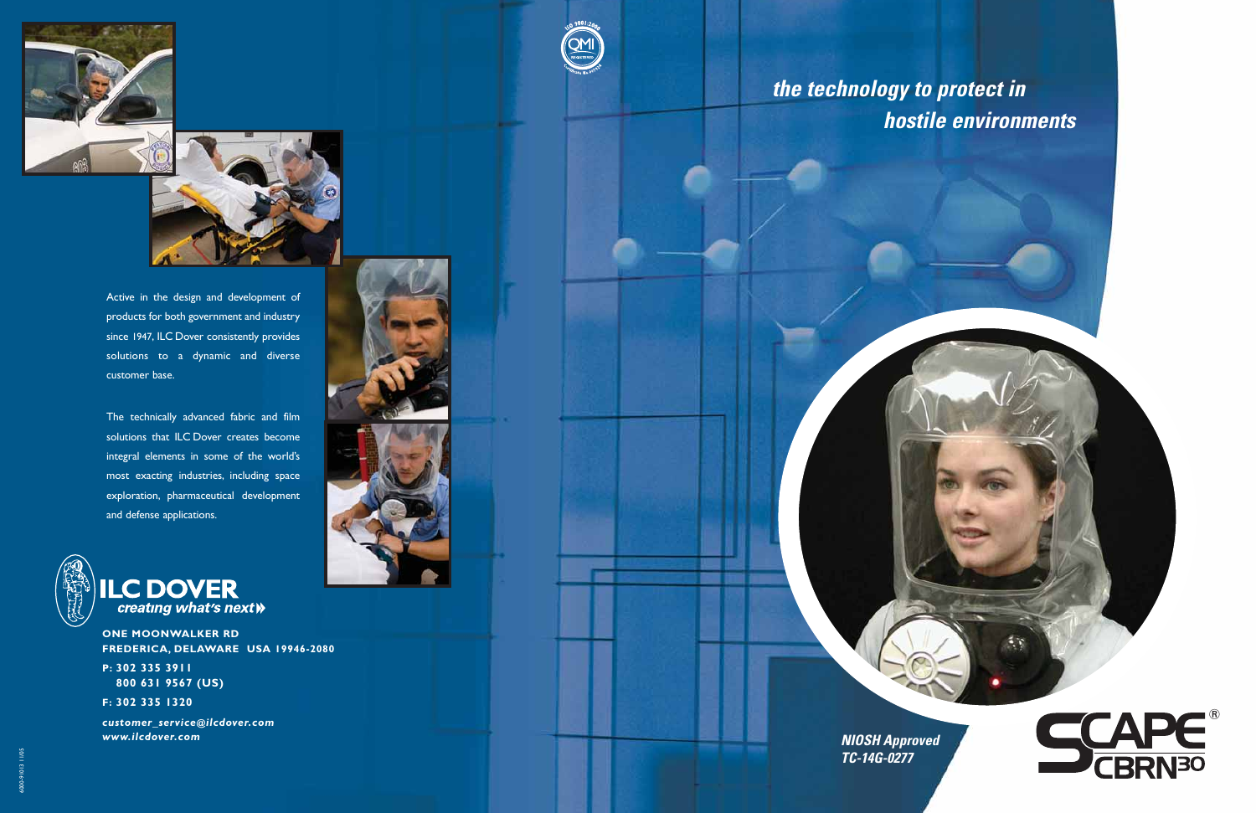

**NIOSH Approved TC-14G-0277**

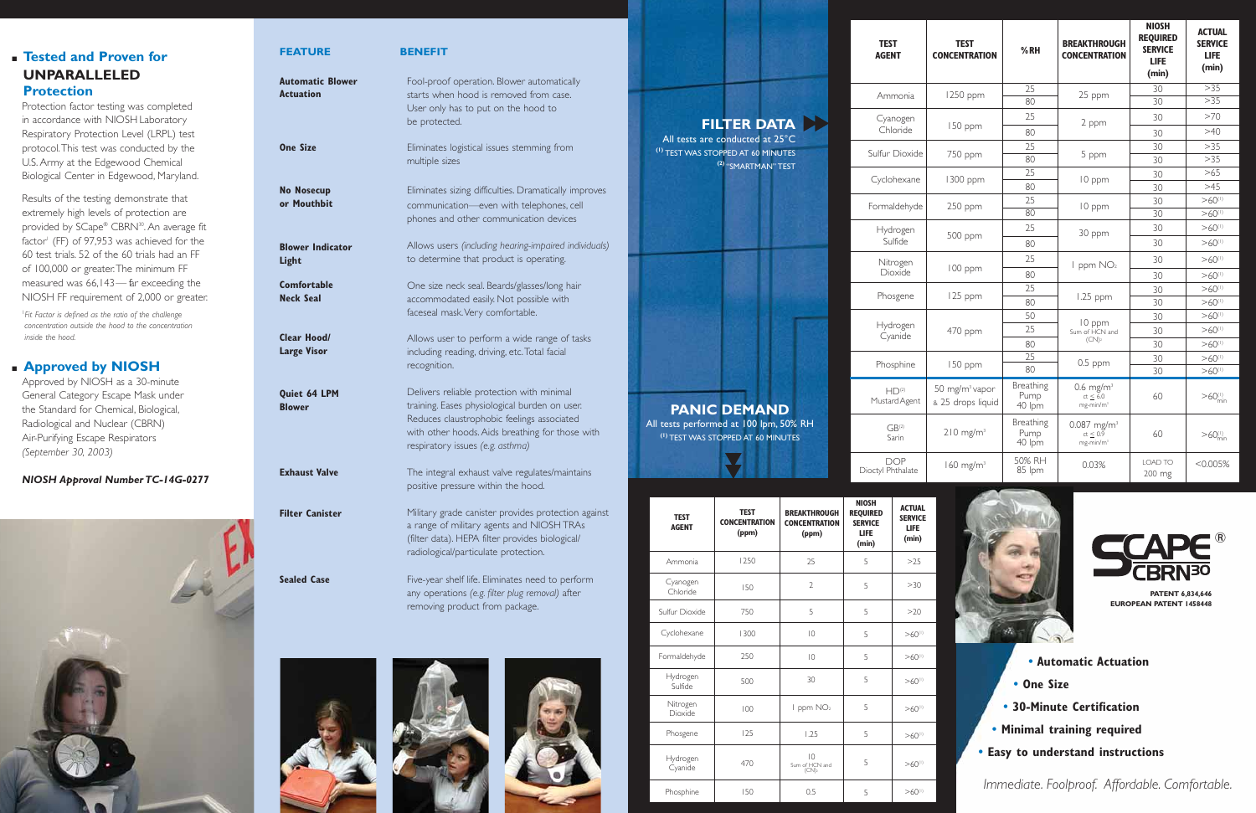## ■ **Tested and Proven for UNPARALLELED Protection**

Protection factor testing was completed in accordance with NIOSH Laboratory Respiratory Protection Level (LRPL) test protocol.This test was conducted by the U.S. Army at the Edgewood Chemical Biological Center in Edgewood, Maryland.

Results of the testing demonstrate that extremely high levels of protection are provided by SCape® CBRN<sup>30</sup>. An average fit factor<sup>1</sup> (FF) of 97,953 was achieved for the 60 test trials. 52 of the 60 trials had an FF of 100,000 or greater.The minimum FF measured was 66,143— far exceeding the NIOSH FF requirement of 2,000 or greater.

> sts performed at 100 lpm, 50% RH **(1)** TEST WAS STOPPED AT 60 MINUTES

**EST WAS STOPPED AT 60 MINUTES (2)** "SMARTMAN" TEST

|             |  | Fc |
|-------------|--|----|
|             |  |    |
|             |  |    |
|             |  |    |
|             |  |    |
|             |  |    |
| <b>MAND</b> |  | Μ  |
|             |  |    |

1 *Fit Factor is defined as the ratio of the challenge concentration outside the hood to the concentration inside the hood.*

## ■ **Approved by NIOSH**

Approved by NIOSH as a 30-minute General Category Escape Mask under the Standard for Chemical, Biological, Radiological and Nuclear (CBRN) Air-Purifying Escape Respirators *(September 30, 2003)* 

## *NIOSH Approval Number TC-14G-0277*



|  | <b>FILTER DATA</b>    |  |
|--|-----------------------|--|
|  | are conducted at 25°C |  |

- **Automatic Actuation**
- **One Size**

χX,

- **30-Minute Certification**
- **Minimal training required**
- **Easy to understand instructions**

Hydrogen **Cyanide** 

 $HD<sup>(2)</sup>$ MustardAgent

> $GB<sup>(2)</sup>$ Sarin

## **TEST AGENT**

| FEATURE                                     | <b>BENEFIT</b>                                                                                                                                                                                                                  |                                                                              |                   |
|---------------------------------------------|---------------------------------------------------------------------------------------------------------------------------------------------------------------------------------------------------------------------------------|------------------------------------------------------------------------------|-------------------|
| <b>Automatic Blower</b><br><b>Actuation</b> | Fool-proof operation. Blower automatically<br>starts when hood is removed from case.<br>User only has to put on the hood to<br>be protected.                                                                                    |                                                                              | <b>FILTE</b>      |
| <b>One Size</b>                             | Eliminates logistical issues stemming from<br>multiple sizes                                                                                                                                                                    | All tests are condu<br><sup>(1)</sup> TEST WAS STOPPED /                     | $(2)$ "SM/        |
| <b>No Nosecup</b><br>or Mouthbit            | Eliminates sizing difficulties. Dramatically improves<br>communication-even with telephones, cell<br>phones and other communication devices                                                                                     |                                                                              |                   |
| <b>Blower Indicator</b><br>Light            | Allows users (including hearing-impaired individuals)<br>to determine that product is operating.                                                                                                                                |                                                                              |                   |
| <b>Comfortable</b><br><b>Neck Seal</b>      | One size neck seal. Beards/glasses/long hair<br>accommodated easily. Not possible with<br>faceseal mask. Very comfortable.                                                                                                      |                                                                              |                   |
| <b>Clear Hood/</b><br><b>Large Visor</b>    | Allows user to perform a wide range of tasks<br>including reading, driving, etc. Total facial<br>recognition.                                                                                                                   |                                                                              |                   |
| Quiet 64 LPM<br><b>Blower</b>               | Delivers reliable protection with minimal<br>training. Eases physiological burden on user.<br>Reduces claustrophobic feelings associated<br>with other hoods. Aids breathing for those with<br>respiratory issues (e.g. asthma) | <b>PANIC DE</b><br>All tests performed at<br><sup>(1)</sup> TEST WAS STOPPED |                   |
| <b>Exhaust Valve</b>                        | The integral exhaust valve regulates/maintains<br>positive pressure within the hood.                                                                                                                                            |                                                                              |                   |
| <b>Filter Canister</b>                      | Military grade canister provides protection against<br>a range of military agents and NIOSH TRAs<br>(filter data). HEPA filter provides biological/<br>radiological/particulate protection.                                     | <b>TEST</b><br><b>AGENT</b>                                                  | <b>CONCE</b><br>0 |
|                                             |                                                                                                                                                                                                                                 | Ammonia                                                                      |                   |
| <b>Sealed Case</b>                          | Five-year shelf life. Eliminates need to perform<br>any operations (e.g. filter plug removal) after                                                                                                                             | Cyanogen<br>Chloride                                                         |                   |
|                                             | removing product from package.                                                                                                                                                                                                  | Sulfur Dioxide                                                               |                   |





| <b>TEST</b><br><b>CONCENTRATION</b>             | %RH                         | <b>BREAKTHROUGH</b><br><b>CONCENTRATION</b>                          | <b>NIOSH</b><br><b>REQUIRED</b><br><b>SERVICE</b><br><b>LIFE</b><br>(min) | <b>ACTUAL</b><br><b>SERVICE</b><br><b>LIFE</b><br>(min) |
|-------------------------------------------------|-----------------------------|----------------------------------------------------------------------|---------------------------------------------------------------------------|---------------------------------------------------------|
| 1250 ppm                                        | $\overline{2}5$             | 25 ppm                                                               | 30                                                                        | >35                                                     |
|                                                 | 80                          |                                                                      | 30                                                                        | >35                                                     |
|                                                 | 25                          | 2 ppm                                                                | 30                                                                        | >70                                                     |
| 150 ppm                                         | 80                          |                                                                      | 30                                                                        | >40                                                     |
|                                                 | 25                          |                                                                      | 30                                                                        | >35                                                     |
| 750 ppm                                         | 80                          | 5 ppm                                                                | 30                                                                        | >35                                                     |
| 1300 ppm                                        | 25                          |                                                                      | 30                                                                        | >65                                                     |
|                                                 | 80                          | 10 ppm                                                               | 30                                                                        | >45                                                     |
|                                                 | 25                          |                                                                      | 30                                                                        | $>60$ <sup>(1)</sup>                                    |
| 250 ppm                                         | 80                          | 10 ppm                                                               | 30                                                                        | $>60$ <sup>(1)</sup>                                    |
|                                                 | 25                          | 30 ppm                                                               | 30                                                                        | $>60$ <sup>(1)</sup>                                    |
| 500 ppm                                         | 80                          |                                                                      | 30                                                                        | $>60^{(1)}$                                             |
|                                                 | 25                          | I ppm NO <sub>2</sub>                                                | 30                                                                        | $>60$ <sup>(1)</sup>                                    |
| 100 ppm                                         | 80                          |                                                                      | 30                                                                        | $>60^{(1)}$                                             |
|                                                 | 25                          | 1.25 ppm                                                             | 30                                                                        | $>60$ <sup>(1)</sup>                                    |
| 125 ppm                                         | 80                          |                                                                      | 30                                                                        | $>60$ <sup>(1)</sup>                                    |
|                                                 | 50                          | 10 ppm<br>Sum of HCN and                                             | 30                                                                        | $>60$ <sup>(1)</sup>                                    |
| 470 ppm                                         | 25                          |                                                                      | 30                                                                        | $>60$ <sup>(1)</sup>                                    |
|                                                 | 80                          | (CN) <sub>2</sub>                                                    | 30                                                                        | $>60$ <sup>(1)</sup>                                    |
|                                                 | 25                          | $0.5$ ppm                                                            | 30                                                                        | $>60$ <sup>(1)</sup>                                    |
| 150 ppm                                         | 80                          |                                                                      | 30                                                                        | $>60$ <sup>(1)</sup>                                    |
| 50 mg/m <sup>3</sup> vapor<br>& 25 drops liquid | Breathing<br>Pump<br>40 lpm | $0.6$ mg/m <sup>3</sup><br>$ct \leq 6.0$<br>$mg$ -min/m <sup>3</sup> | 60                                                                        | $>60^{(1)}_{min}$                                       |
| $210$ mg/m <sup>3</sup>                         | Breathing<br>Pump<br>40 lpm | $0.087$ mg/m <sup>3</sup><br>ct < 0.9<br>mg-min/m <sup>3</sup>       | 60                                                                        | $>60^{(1)}_{min}$                                       |
| $160$ mg/m <sup>3</sup>                         | 50% RH<br>85 lpm            | 0.03%                                                                | <b>LOAD TO</b><br>200 mg                                                  | < 0.005%                                                |

*Immediate. Foolproof. Affordable. Comfortable.*

Ammonia

Cyanogen Chloride

Sulfur Dioxide

Cyclohexane

**prmaldehyde** 

Hydrogen Sulfide

Nitrogen Dioxide

Phosgene

Phosphine





| <b>TEST</b><br><b>AGENT</b> | <b>TEST</b><br><b>CONCENTRATION</b><br>(ppm) | <b>BREAKTHROUGH</b><br><b>CONCENTRATION</b><br>(ppm)   | <b>NIOSH</b><br><b>REQUIRED</b><br><b>SERVICE</b><br><b>LIFE</b><br>(min) | <b>ACTUAL</b><br><b>SERVICE</b><br><b>LIFE</b><br>(min) |
|-----------------------------|----------------------------------------------|--------------------------------------------------------|---------------------------------------------------------------------------|---------------------------------------------------------|
| Ammonia                     | 1250                                         | 25                                                     | 5                                                                         | >25                                                     |
| Cyanogen<br>Chloride        | 150                                          | $\mathfrak{D}$                                         | 5                                                                         | >30                                                     |
| Sulfur Dioxide              | 750                                          | 5                                                      | 5                                                                         | >20                                                     |
| Cyclohexane                 | 1300                                         | $\overline{0}$                                         | 5                                                                         | $>60^{(1)}$                                             |
| Formaldehyde                | 250                                          | $ 0\rangle$                                            | 5                                                                         | $>60$ <sup>(1)</sup>                                    |
| Hydrogen<br>Sulfide         | 500                                          | 30                                                     | 5                                                                         | $>60^{(1)}$                                             |
| Nitrogen<br>Dioxide         | 100                                          | I ppm NO <sub>2</sub>                                  | 5                                                                         | $>60$ <sup>(1)</sup>                                    |
| Phosgene                    | 125                                          | 1.25                                                   | 5                                                                         | $>60^{(1)}$                                             |
| Hydrogen<br>Cyanide         | 470                                          | $\overline{10}$<br>Sum of HCN and<br>(CN) <sub>2</sub> | 5                                                                         | $>60^{(1)}$                                             |
| Phosphine                   | 150                                          | 0.5                                                    | 5                                                                         | $>60$ <sup>(1)</sup>                                    |

**PATENT 6,834,646 EUROPEAN PATENT 1458448**